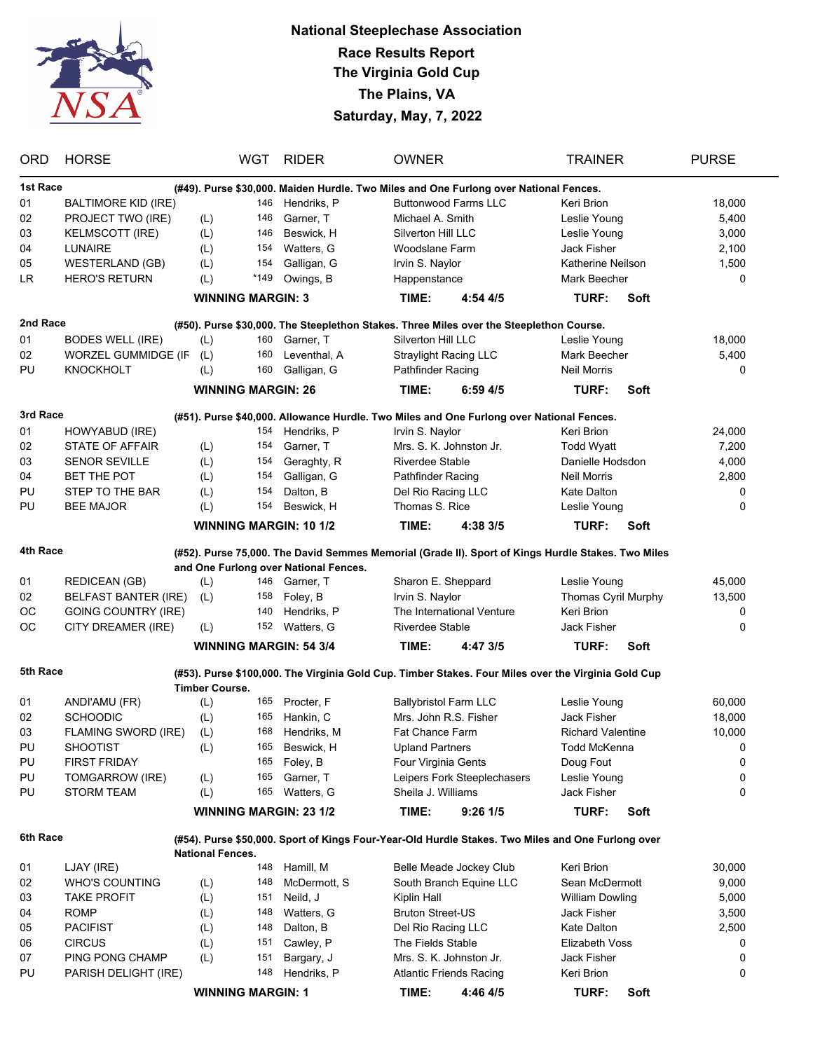

## **National Steeplechase Association Race Results Report The Virginia Gold Cup The Plains, VA Saturday, May, 7, 2022**

| <b>ORD</b>                                                                                        | <b>HORSE</b>                |                                                                                                     | WGT  | <b>RIDER</b>                                                                                       | <b>OWNER</b>                 |                                | <b>TRAINER</b>           |      | <b>PURSE</b> |  |  |  |  |
|---------------------------------------------------------------------------------------------------|-----------------------------|-----------------------------------------------------------------------------------------------------|------|----------------------------------------------------------------------------------------------------|------------------------------|--------------------------------|--------------------------|------|--------------|--|--|--|--|
| 1st Race<br>(#49). Purse \$30,000. Maiden Hurdle. Two Miles and One Furlong over National Fences. |                             |                                                                                                     |      |                                                                                                    |                              |                                |                          |      |              |  |  |  |  |
| 01                                                                                                | <b>BALTIMORE KID (IRE)</b>  |                                                                                                     | 146  | Hendriks, P                                                                                        |                              | <b>Buttonwood Farms LLC</b>    | Keri Brion               |      | 18,000       |  |  |  |  |
| 02                                                                                                | PROJECT TWO (IRE)           | (L)                                                                                                 | 146  | Garner, T                                                                                          | Michael A. Smith             |                                | Leslie Young             |      | 5,400        |  |  |  |  |
| 03                                                                                                | <b>KELMSCOTT (IRE)</b>      | (L)                                                                                                 | 146  | Beswick, H                                                                                         | Silverton Hill LLC           |                                | Leslie Young             |      | 3,000        |  |  |  |  |
| 04                                                                                                | <b>LUNAIRE</b>              | (L)                                                                                                 | 154  | Watters, G                                                                                         | Woodslane Farm               |                                | <b>Jack Fisher</b>       |      | 2,100        |  |  |  |  |
| 05                                                                                                | <b>WESTERLAND (GB)</b>      | (L)                                                                                                 | 154  | Galligan, G                                                                                        | Irvin S. Naylor              |                                | Katherine Neilson        |      | 1,500        |  |  |  |  |
| <b>LR</b>                                                                                         | <b>HERO'S RETURN</b>        | (L)                                                                                                 | *149 | Owings, B                                                                                          | Happenstance                 |                                | Mark Beecher             |      | 0            |  |  |  |  |
|                                                                                                   |                             |                                                                                                     |      |                                                                                                    | TIME:                        | 4:54 4/5                       | TURF:                    | Soft |              |  |  |  |  |
| <b>WINNING MARGIN: 3</b>                                                                          |                             |                                                                                                     |      |                                                                                                    |                              |                                |                          |      |              |  |  |  |  |
| 2nd Race                                                                                          |                             |                                                                                                     |      | (#50). Purse \$30,000. The Steeplethon Stakes. Three Miles over the Steeplethon Course.            |                              |                                |                          |      |              |  |  |  |  |
| 01                                                                                                | <b>BODES WELL (IRE)</b>     | (L)                                                                                                 | 160  | Garner, T                                                                                          | Silverton Hill LLC           |                                | Leslie Young             |      | 18,000       |  |  |  |  |
| 02                                                                                                | <b>WORZEL GUMMIDGE (IF</b>  | (L)                                                                                                 | 160  | Leventhal, A                                                                                       | <b>Straylight Racing LLC</b> |                                | Mark Beecher             |      | 5,400        |  |  |  |  |
| PU                                                                                                | <b>KNOCKHOLT</b>            | (L)                                                                                                 | 160  | Galligan, G                                                                                        | Pathfinder Racing            |                                | <b>Neil Morris</b>       |      | 0            |  |  |  |  |
|                                                                                                   |                             | <b>WINNING MARGIN: 26</b>                                                                           |      |                                                                                                    | TIME:                        | $6:59$ 4/5                     | <b>TURF:</b>             | Soft |              |  |  |  |  |
|                                                                                                   |                             |                                                                                                     |      |                                                                                                    |                              |                                |                          |      |              |  |  |  |  |
| 3rd Race                                                                                          |                             |                                                                                                     |      | (#51). Purse \$40,000. Allowance Hurdle. Two Miles and One Furlong over National Fences.           |                              |                                |                          |      |              |  |  |  |  |
| 01                                                                                                | HOWYABUD (IRE)              |                                                                                                     | 154  | Hendriks, P                                                                                        | Irvin S. Naylor              |                                | Keri Brion               |      | 24,000       |  |  |  |  |
| 02                                                                                                | <b>STATE OF AFFAIR</b>      | (L)                                                                                                 | 154  | Garner, T                                                                                          | Mrs. S. K. Johnston Jr.      |                                | <b>Todd Wyatt</b>        |      | 7,200        |  |  |  |  |
| 03                                                                                                | <b>SENOR SEVILLE</b>        | (L)                                                                                                 | 154  | Geraghty, R                                                                                        | <b>Riverdee Stable</b>       |                                | Danielle Hodsdon         |      | 4,000        |  |  |  |  |
| 04                                                                                                | <b>BET THE POT</b>          | (L)                                                                                                 | 154  | Galligan, G                                                                                        | Pathfinder Racing            |                                | <b>Neil Morris</b>       |      | 2,800        |  |  |  |  |
| PU                                                                                                | STEP TO THE BAR             | (L)                                                                                                 | 154  | Dalton, B                                                                                          | Del Rio Racing LLC           |                                | Kate Dalton              |      | 0            |  |  |  |  |
| PU                                                                                                | <b>BEE MAJOR</b>            | (L)                                                                                                 | 154  | Beswick, H                                                                                         | Thomas S. Rice               |                                | Leslie Young             |      | 0            |  |  |  |  |
|                                                                                                   |                             | <b>WINNING MARGIN: 10 1/2</b>                                                                       |      |                                                                                                    | TIME:                        | 4:38 3/5                       | TURF:                    | Soft |              |  |  |  |  |
|                                                                                                   |                             |                                                                                                     |      |                                                                                                    |                              |                                |                          |      |              |  |  |  |  |
| 4th Race                                                                                          |                             |                                                                                                     |      | (#52). Purse 75,000. The David Semmes Memorial (Grade II). Sport of Kings Hurdle Stakes. Two Miles |                              |                                |                          |      |              |  |  |  |  |
|                                                                                                   |                             |                                                                                                     |      | and One Furlong over National Fences.                                                              |                              |                                |                          |      |              |  |  |  |  |
| 01                                                                                                | <b>REDICEAN (GB)</b>        | (L)                                                                                                 | 146  | Garner, T                                                                                          | Sharon E. Sheppard           |                                | Leslie Young             |      | 45,000       |  |  |  |  |
| 02                                                                                                | <b>BELFAST BANTER (IRE)</b> | (L)                                                                                                 | 158  | Foley, B                                                                                           | Irvin S. Naylor              |                                | Thomas Cyril Murphy      |      | 13,500       |  |  |  |  |
| ОC                                                                                                | <b>GOING COUNTRY (IRE)</b>  |                                                                                                     | 140  | Hendriks, P                                                                                        |                              | The International Venture      | Keri Brion               |      | 0            |  |  |  |  |
| ОC                                                                                                | CITY DREAMER (IRE)          | (L)                                                                                                 |      | 152 Watters, G                                                                                     | <b>Riverdee Stable</b>       |                                | Jack Fisher              |      | 0            |  |  |  |  |
|                                                                                                   |                             | <b>WINNING MARGIN: 54 3/4</b>                                                                       |      |                                                                                                    | TIME:                        | 4:47 3/5                       | TURF:                    | Soft |              |  |  |  |  |
| 5th Race                                                                                          |                             | (#53). Purse \$100,000. The Virginia Gold Cup. Timber Stakes. Four Miles over the Virginia Gold Cup |      |                                                                                                    |                              |                                |                          |      |              |  |  |  |  |
|                                                                                                   |                             | <b>Timber Course.</b>                                                                               |      |                                                                                                    |                              |                                |                          |      |              |  |  |  |  |
| 01                                                                                                | ANDI'AMU (FR)               | (L)                                                                                                 | 165  | Procter, F                                                                                         | <b>Ballybristol Farm LLC</b> |                                | Leslie Young             |      | 60,000       |  |  |  |  |
| 02                                                                                                | <b>SCHOODIC</b>             | (L)                                                                                                 | 165  | Hankin, C                                                                                          | Mrs. John R.S. Fisher        |                                | <b>Jack Fisher</b>       |      | 18,000       |  |  |  |  |
| 03                                                                                                | <b>FLAMING SWORD (IRE)</b>  | (L)                                                                                                 | 168  | Hendriks, M                                                                                        | Fat Chance Farm              |                                | <b>Richard Valentine</b> |      | 10,000       |  |  |  |  |
| PU                                                                                                | <b>SHOOTIST</b>             | (L)                                                                                                 | 165  | Beswick, H                                                                                         | <b>Upland Partners</b>       |                                | <b>Todd McKenna</b>      |      | 0            |  |  |  |  |
| PU                                                                                                | <b>FIRST FRIDAY</b>         |                                                                                                     | 165  | Foley, B                                                                                           | Four Virginia Gents          |                                | Doug Fout                |      | 0            |  |  |  |  |
| PU                                                                                                | TOMGARROW (IRE)             | (L)                                                                                                 | 165  | Garner, T                                                                                          |                              | Leipers Fork Steeplechasers    | Leslie Young             |      | 0            |  |  |  |  |
| PU                                                                                                | <b>STORM TEAM</b>           | (L)                                                                                                 | 165  | Watters, G                                                                                         | Sheila J. Williams           |                                | Jack Fisher              |      | 0            |  |  |  |  |
|                                                                                                   |                             |                                                                                                     |      |                                                                                                    |                              |                                |                          |      |              |  |  |  |  |
|                                                                                                   |                             | <b>WINNING MARGIN: 23 1/2</b>                                                                       |      |                                                                                                    | TIME:                        | $9:26$ 1/5                     | TURF:                    | Soft |              |  |  |  |  |
| 6th Race                                                                                          |                             |                                                                                                     |      | (#54). Purse \$50,000. Sport of Kings Four-Year-Old Hurdle Stakes. Two Miles and One Furlong over  |                              |                                |                          |      |              |  |  |  |  |
|                                                                                                   |                             | <b>National Fences.</b>                                                                             |      |                                                                                                    |                              |                                |                          |      |              |  |  |  |  |
| 01                                                                                                | LJAY (IRE)                  |                                                                                                     | 148  | Hamill, M                                                                                          |                              | Belle Meade Jockey Club        | Keri Brion               |      | 30,000       |  |  |  |  |
| 02                                                                                                | <b>WHO'S COUNTING</b>       | (L)                                                                                                 | 148  | McDermott, S                                                                                       |                              | South Branch Equine LLC        | Sean McDermott           |      | 9,000        |  |  |  |  |
| 03                                                                                                | <b>TAKE PROFIT</b>          | (L)                                                                                                 | 151  | Neild, J                                                                                           | Kiplin Hall                  |                                | <b>William Dowling</b>   |      | 5,000        |  |  |  |  |
| 04                                                                                                | <b>ROMP</b>                 | (L)                                                                                                 | 148  | Watters, G                                                                                         | <b>Bruton Street-US</b>      |                                | Jack Fisher              |      | 3,500        |  |  |  |  |
| 05                                                                                                | <b>PACIFIST</b>             | (L)                                                                                                 | 148  | Dalton, B                                                                                          | Del Rio Racing LLC           |                                | Kate Dalton              |      | 2,500        |  |  |  |  |
| 06                                                                                                | <b>CIRCUS</b>               | (L)                                                                                                 | 151  | Cawley, P                                                                                          | The Fields Stable            |                                | <b>Elizabeth Voss</b>    |      | 0            |  |  |  |  |
| 07                                                                                                | PING PONG CHAMP             |                                                                                                     | 151  | Bargary, J                                                                                         |                              | Mrs. S. K. Johnston Jr.        | Jack Fisher              |      | 0            |  |  |  |  |
| PU                                                                                                |                             | (L)                                                                                                 | 148  |                                                                                                    |                              |                                |                          |      | 0            |  |  |  |  |
|                                                                                                   | PARISH DELIGHT (IRE)        |                                                                                                     |      | Hendriks, P                                                                                        |                              | <b>Atlantic Friends Racing</b> | Keri Brion               |      |              |  |  |  |  |
|                                                                                                   |                             | <b>WINNING MARGIN: 1</b>                                                                            |      |                                                                                                    | TIME:                        | 4:46 4/5                       | TURF:                    | Soft |              |  |  |  |  |